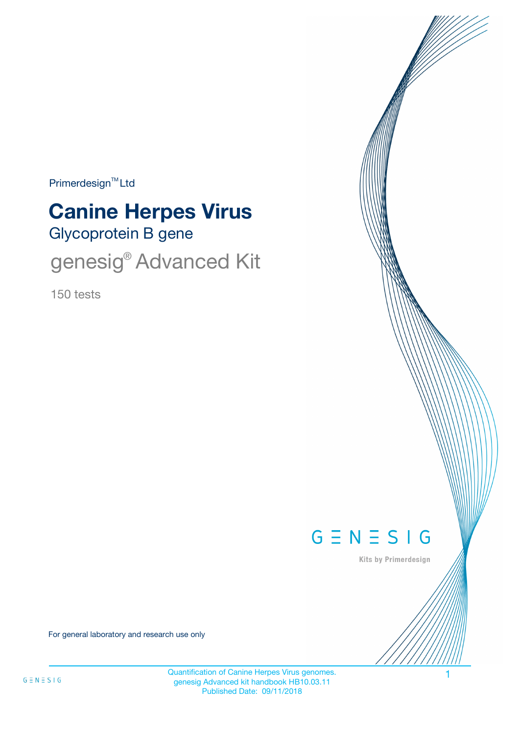Primerdesign<sup>™</sup>Ltd

# Glycoprotein B gene **Canine Herpes Virus**

genesig® Advanced Kit

150 tests



Kits by Primerdesign

For general laboratory and research use only

Quantification of Canine Herpes Virus genomes. genesig Advanced kit handbook HB10.03.11 Published Date: 09/11/2018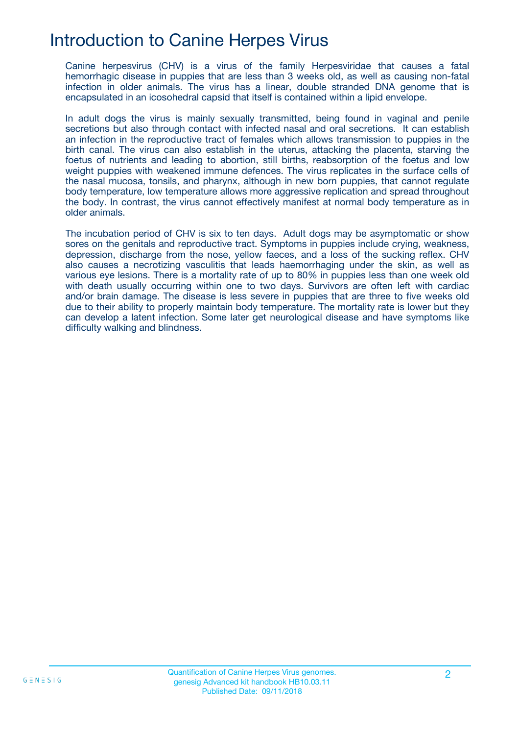## Introduction to Canine Herpes Virus

Canine herpesvirus (CHV) is a virus of the family Herpesviridae that causes a fatal hemorrhagic disease in puppies that are less than 3 weeks old, as well as causing non-fatal infection in older animals. The virus has a linear, double stranded DNA genome that is encapsulated in an icosohedral capsid that itself is contained within a lipid envelope.

In adult dogs the virus is mainly sexually transmitted, being found in vaginal and penile secretions but also through contact with infected nasal and oral secretions. It can establish an infection in the reproductive tract of females which allows transmission to puppies in the birth canal. The virus can also establish in the uterus, attacking the placenta, starving the foetus of nutrients and leading to abortion, still births, reabsorption of the foetus and low weight puppies with weakened immune defences. The virus replicates in the surface cells of the nasal mucosa, tonsils, and pharynx, although in new born puppies, that cannot regulate body temperature, low temperature allows more aggressive replication and spread throughout the body. In contrast, the virus cannot effectively manifest at normal body temperature as in older animals.

The incubation period of CHV is six to ten days. Adult dogs may be asymptomatic or show sores on the genitals and reproductive tract. Symptoms in puppies include crying, weakness, depression, discharge from the nose, yellow faeces, and a loss of the sucking reflex. CHV also causes a necrotizing vasculitis that leads haemorrhaging under the skin, as well as various eye lesions. There is a mortality rate of up to 80% in puppies less than one week old with death usually occurring within one to two days. Survivors are often left with cardiac and/or brain damage. The disease is less severe in puppies that are three to five weeks old due to their ability to properly maintain body temperature. The mortality rate is lower but they can develop a latent infection. Some later get neurological disease and have symptoms like difficulty walking and blindness.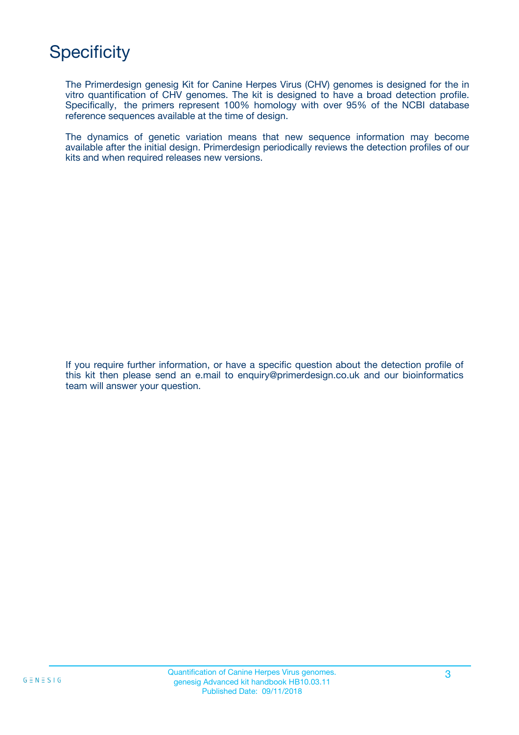# **Specificity**

The Primerdesign genesig Kit for Canine Herpes Virus (CHV) genomes is designed for the in vitro quantification of CHV genomes. The kit is designed to have a broad detection profile. Specifically, the primers represent 100% homology with over 95% of the NCBI database reference sequences available at the time of design.

The dynamics of genetic variation means that new sequence information may become available after the initial design. Primerdesign periodically reviews the detection profiles of our kits and when required releases new versions.

If you require further information, or have a specific question about the detection profile of this kit then please send an e.mail to enquiry@primerdesign.co.uk and our bioinformatics team will answer your question.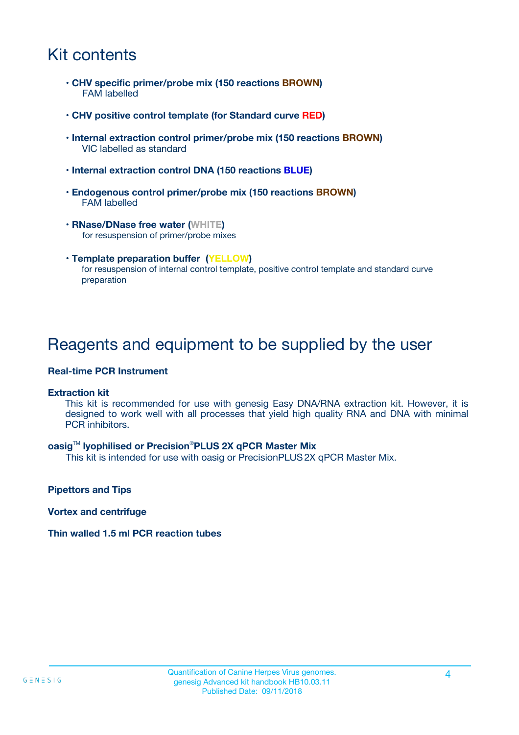## Kit contents

- **CHV specific primer/probe mix (150 reactions BROWN)** FAM labelled
- **CHV positive control template (for Standard curve RED)**
- **Internal extraction control primer/probe mix (150 reactions BROWN)** VIC labelled as standard
- **Internal extraction control DNA (150 reactions BLUE)**
- **Endogenous control primer/probe mix (150 reactions BROWN)** FAM labelled
- **RNase/DNase free water (WHITE)** for resuspension of primer/probe mixes
- **Template preparation buffer (YELLOW)** for resuspension of internal control template, positive control template and standard curve preparation

### Reagents and equipment to be supplied by the user

#### **Real-time PCR Instrument**

#### **Extraction kit**

This kit is recommended for use with genesig Easy DNA/RNA extraction kit. However, it is designed to work well with all processes that yield high quality RNA and DNA with minimal PCR inhibitors.

#### **oasig**TM **lyophilised or Precision**®**PLUS 2X qPCR Master Mix**

This kit is intended for use with oasig or PrecisionPLUS2X qPCR Master Mix.

**Pipettors and Tips**

**Vortex and centrifuge**

#### **Thin walled 1.5 ml PCR reaction tubes**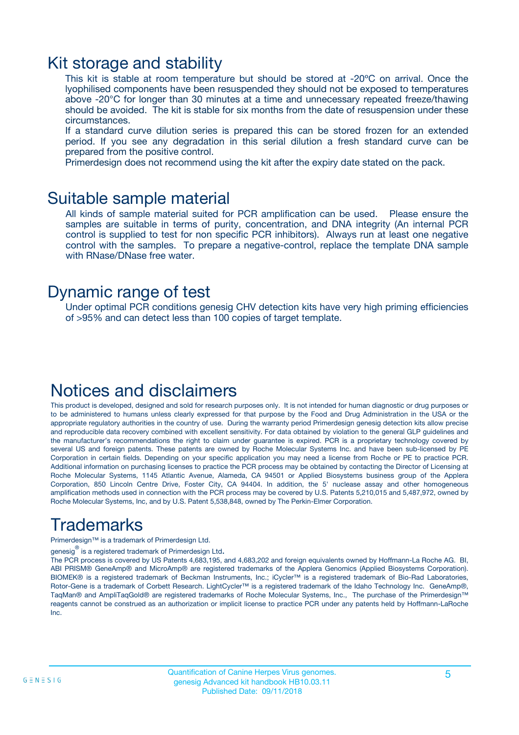### Kit storage and stability

This kit is stable at room temperature but should be stored at -20ºC on arrival. Once the lyophilised components have been resuspended they should not be exposed to temperatures above -20°C for longer than 30 minutes at a time and unnecessary repeated freeze/thawing should be avoided. The kit is stable for six months from the date of resuspension under these circumstances.

If a standard curve dilution series is prepared this can be stored frozen for an extended period. If you see any degradation in this serial dilution a fresh standard curve can be prepared from the positive control.

Primerdesign does not recommend using the kit after the expiry date stated on the pack.

### Suitable sample material

All kinds of sample material suited for PCR amplification can be used. Please ensure the samples are suitable in terms of purity, concentration, and DNA integrity (An internal PCR control is supplied to test for non specific PCR inhibitors). Always run at least one negative control with the samples. To prepare a negative-control, replace the template DNA sample with RNase/DNase free water.

### Dynamic range of test

Under optimal PCR conditions genesig CHV detection kits have very high priming efficiencies of >95% and can detect less than 100 copies of target template.

### Notices and disclaimers

This product is developed, designed and sold for research purposes only. It is not intended for human diagnostic or drug purposes or to be administered to humans unless clearly expressed for that purpose by the Food and Drug Administration in the USA or the appropriate regulatory authorities in the country of use. During the warranty period Primerdesign genesig detection kits allow precise and reproducible data recovery combined with excellent sensitivity. For data obtained by violation to the general GLP guidelines and the manufacturer's recommendations the right to claim under guarantee is expired. PCR is a proprietary technology covered by several US and foreign patents. These patents are owned by Roche Molecular Systems Inc. and have been sub-licensed by PE Corporation in certain fields. Depending on your specific application you may need a license from Roche or PE to practice PCR. Additional information on purchasing licenses to practice the PCR process may be obtained by contacting the Director of Licensing at Roche Molecular Systems, 1145 Atlantic Avenue, Alameda, CA 94501 or Applied Biosystems business group of the Applera Corporation, 850 Lincoln Centre Drive, Foster City, CA 94404. In addition, the 5' nuclease assay and other homogeneous amplification methods used in connection with the PCR process may be covered by U.S. Patents 5,210,015 and 5,487,972, owned by Roche Molecular Systems, Inc, and by U.S. Patent 5,538,848, owned by The Perkin-Elmer Corporation.

## Trademarks

Primerdesign™ is a trademark of Primerdesign Ltd.

genesig $^\circledR$  is a registered trademark of Primerdesign Ltd.

The PCR process is covered by US Patents 4,683,195, and 4,683,202 and foreign equivalents owned by Hoffmann-La Roche AG. BI, ABI PRISM® GeneAmp® and MicroAmp® are registered trademarks of the Applera Genomics (Applied Biosystems Corporation). BIOMEK® is a registered trademark of Beckman Instruments, Inc.; iCycler™ is a registered trademark of Bio-Rad Laboratories, Rotor-Gene is a trademark of Corbett Research. LightCycler™ is a registered trademark of the Idaho Technology Inc. GeneAmp®, TaqMan® and AmpliTaqGold® are registered trademarks of Roche Molecular Systems, Inc., The purchase of the Primerdesign™ reagents cannot be construed as an authorization or implicit license to practice PCR under any patents held by Hoffmann-LaRoche Inc.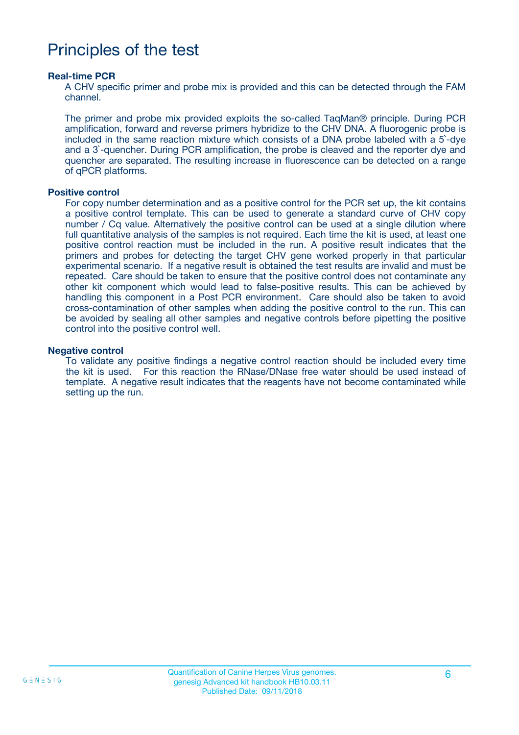## Principles of the test

#### **Real-time PCR**

A CHV specific primer and probe mix is provided and this can be detected through the FAM channel.

The primer and probe mix provided exploits the so-called TaqMan® principle. During PCR amplification, forward and reverse primers hybridize to the CHV DNA. A fluorogenic probe is included in the same reaction mixture which consists of a DNA probe labeled with a 5`-dye and a 3`-quencher. During PCR amplification, the probe is cleaved and the reporter dye and quencher are separated. The resulting increase in fluorescence can be detected on a range of qPCR platforms.

#### **Positive control**

For copy number determination and as a positive control for the PCR set up, the kit contains a positive control template. This can be used to generate a standard curve of CHV copy number / Cq value. Alternatively the positive control can be used at a single dilution where full quantitative analysis of the samples is not required. Each time the kit is used, at least one positive control reaction must be included in the run. A positive result indicates that the primers and probes for detecting the target CHV gene worked properly in that particular experimental scenario. If a negative result is obtained the test results are invalid and must be repeated. Care should be taken to ensure that the positive control does not contaminate any other kit component which would lead to false-positive results. This can be achieved by handling this component in a Post PCR environment. Care should also be taken to avoid cross-contamination of other samples when adding the positive control to the run. This can be avoided by sealing all other samples and negative controls before pipetting the positive control into the positive control well.

#### **Negative control**

To validate any positive findings a negative control reaction should be included every time the kit is used. For this reaction the RNase/DNase free water should be used instead of template. A negative result indicates that the reagents have not become contaminated while setting up the run.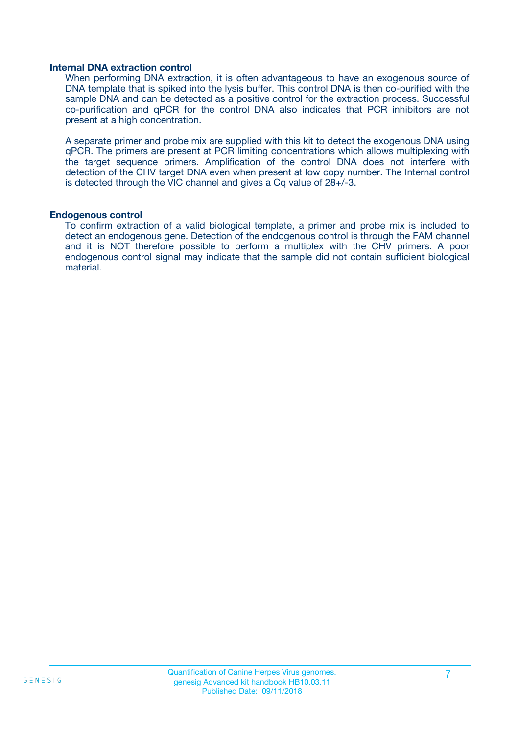#### **Internal DNA extraction control**

When performing DNA extraction, it is often advantageous to have an exogenous source of DNA template that is spiked into the lysis buffer. This control DNA is then co-purified with the sample DNA and can be detected as a positive control for the extraction process. Successful co-purification and qPCR for the control DNA also indicates that PCR inhibitors are not present at a high concentration.

A separate primer and probe mix are supplied with this kit to detect the exogenous DNA using qPCR. The primers are present at PCR limiting concentrations which allows multiplexing with the target sequence primers. Amplification of the control DNA does not interfere with detection of the CHV target DNA even when present at low copy number. The Internal control is detected through the VIC channel and gives a Cq value of 28+/-3.

#### **Endogenous control**

To confirm extraction of a valid biological template, a primer and probe mix is included to detect an endogenous gene. Detection of the endogenous control is through the FAM channel and it is NOT therefore possible to perform a multiplex with the CHV primers. A poor endogenous control signal may indicate that the sample did not contain sufficient biological material.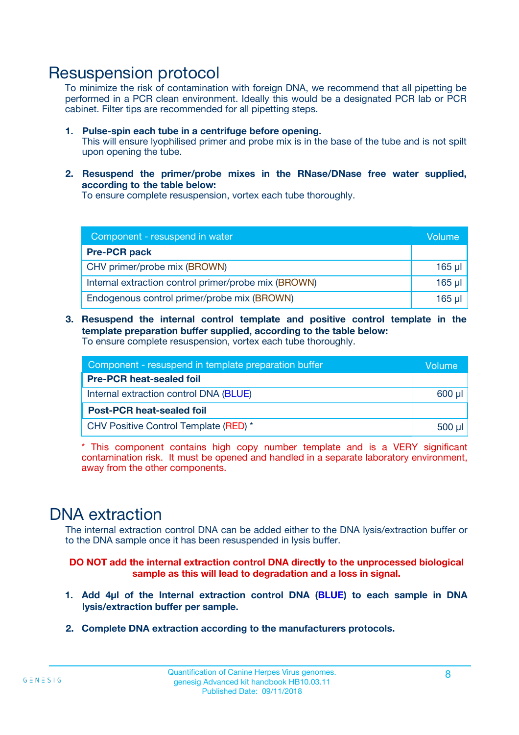### Resuspension protocol

To minimize the risk of contamination with foreign DNA, we recommend that all pipetting be performed in a PCR clean environment. Ideally this would be a designated PCR lab or PCR cabinet. Filter tips are recommended for all pipetting steps.

- **1. Pulse-spin each tube in a centrifuge before opening.** This will ensure lyophilised primer and probe mix is in the base of the tube and is not spilt upon opening the tube.
- **2. Resuspend the primer/probe mixes in the RNase/DNase free water supplied, according to the table below:**

To ensure complete resuspension, vortex each tube thoroughly.

| Component - resuspend in water                       |          |  |
|------------------------------------------------------|----------|--|
| <b>Pre-PCR pack</b>                                  |          |  |
| CHV primer/probe mix (BROWN)                         | $165$ µl |  |
| Internal extraction control primer/probe mix (BROWN) | $165$ µl |  |
| Endogenous control primer/probe mix (BROWN)          | 165 µl   |  |

**3. Resuspend the internal control template and positive control template in the template preparation buffer supplied, according to the table below:** To ensure complete resuspension, vortex each tube thoroughly.

| Component - resuspend in template preparation buffer |          |  |  |
|------------------------------------------------------|----------|--|--|
| <b>Pre-PCR heat-sealed foil</b>                      |          |  |  |
| Internal extraction control DNA (BLUE)               |          |  |  |
| <b>Post-PCR heat-sealed foil</b>                     |          |  |  |
| CHV Positive Control Template (RED) *                | $500$ µl |  |  |

\* This component contains high copy number template and is a VERY significant contamination risk. It must be opened and handled in a separate laboratory environment, away from the other components.

### DNA extraction

The internal extraction control DNA can be added either to the DNA lysis/extraction buffer or to the DNA sample once it has been resuspended in lysis buffer.

**DO NOT add the internal extraction control DNA directly to the unprocessed biological sample as this will lead to degradation and a loss in signal.**

- **1. Add 4µl of the Internal extraction control DNA (BLUE) to each sample in DNA lysis/extraction buffer per sample.**
- **2. Complete DNA extraction according to the manufacturers protocols.**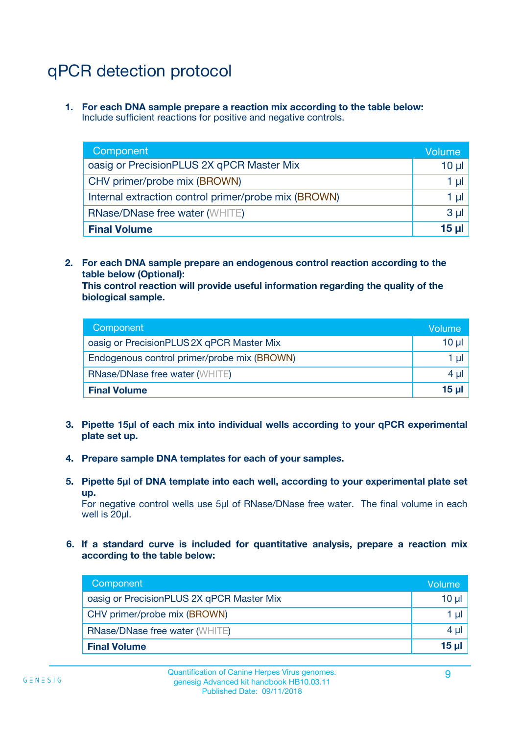# qPCR detection protocol

**1. For each DNA sample prepare a reaction mix according to the table below:** Include sufficient reactions for positive and negative controls.

| Component                                            | Volume   |
|------------------------------------------------------|----------|
| oasig or PrecisionPLUS 2X qPCR Master Mix            | $10 \mu$ |
| CHV primer/probe mix (BROWN)                         | 1 µI     |
| Internal extraction control primer/probe mix (BROWN) | 1 µl     |
| <b>RNase/DNase free water (WHITE)</b>                | $3 \mu$  |
| <b>Final Volume</b>                                  | 15 µl    |

**2. For each DNA sample prepare an endogenous control reaction according to the table below (Optional):**

**This control reaction will provide useful information regarding the quality of the biological sample.**

| Component                                   | Volume   |
|---------------------------------------------|----------|
| oasig or PrecisionPLUS 2X qPCR Master Mix   | $10 \mu$ |
| Endogenous control primer/probe mix (BROWN) | 1 µI     |
| <b>RNase/DNase free water (WHITE)</b>       | $4 \mu$  |
| <b>Final Volume</b>                         | 15 µl    |

- **3. Pipette 15µl of each mix into individual wells according to your qPCR experimental plate set up.**
- **4. Prepare sample DNA templates for each of your samples.**
- **5. Pipette 5µl of DNA template into each well, according to your experimental plate set up.**

For negative control wells use 5µl of RNase/DNase free water. The final volume in each well is 20ul.

**6. If a standard curve is included for quantitative analysis, prepare a reaction mix according to the table below:**

| Component                                 | Volume          |
|-------------------------------------------|-----------------|
| oasig or PrecisionPLUS 2X qPCR Master Mix | 10 $\mu$        |
| CHV primer/probe mix (BROWN)              | 1 µI -          |
| <b>RNase/DNase free water (WHITE)</b>     | 4 µl            |
| <b>Final Volume</b>                       | 15 <sub>µ</sub> |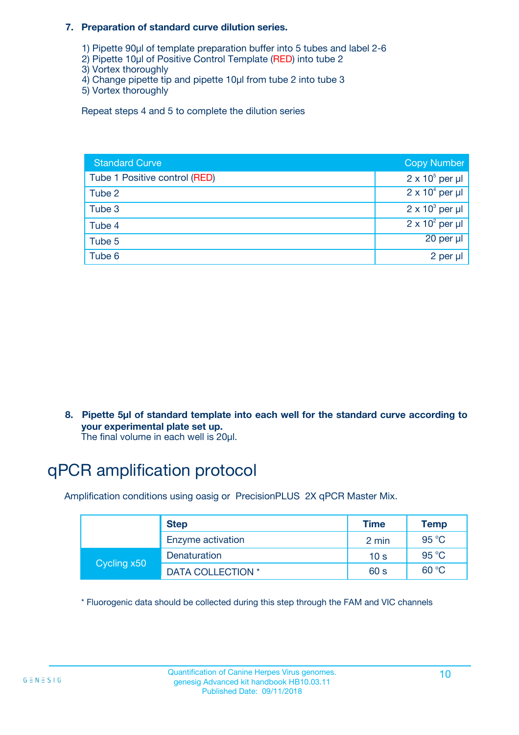#### **7. Preparation of standard curve dilution series.**

- 1) Pipette 90µl of template preparation buffer into 5 tubes and label 2-6
- 2) Pipette 10µl of Positive Control Template (RED) into tube 2
- 3) Vortex thoroughly
- 4) Change pipette tip and pipette 10µl from tube 2 into tube 3
- 5) Vortex thoroughly

Repeat steps 4 and 5 to complete the dilution series

| <b>Standard Curve</b>         | <b>Copy Number</b>     |
|-------------------------------|------------------------|
| Tube 1 Positive control (RED) | $2 \times 10^5$ per µl |
| Tube 2                        | $2 \times 10^4$ per µl |
| Tube 3                        | $2 \times 10^3$ per µl |
| Tube 4                        | $2 \times 10^2$ per µl |
| Tube 5                        | 20 per µl              |
| Tube 6                        | 2 per µl               |

**8. Pipette 5µl of standard template into each well for the standard curve according to your experimental plate set up.**

#### The final volume in each well is 20µl.

## qPCR amplification protocol

Amplification conditions using oasig or PrecisionPLUS 2X qPCR Master Mix.

|             | <b>Step</b>       | <b>Time</b>     | Temp    |
|-------------|-------------------|-----------------|---------|
|             | Enzyme activation | 2 min           | 95 °C   |
| Cycling x50 | Denaturation      | 10 <sub>s</sub> | 95 $°C$ |
|             | DATA COLLECTION * | 60 s            | 60 °C   |

\* Fluorogenic data should be collected during this step through the FAM and VIC channels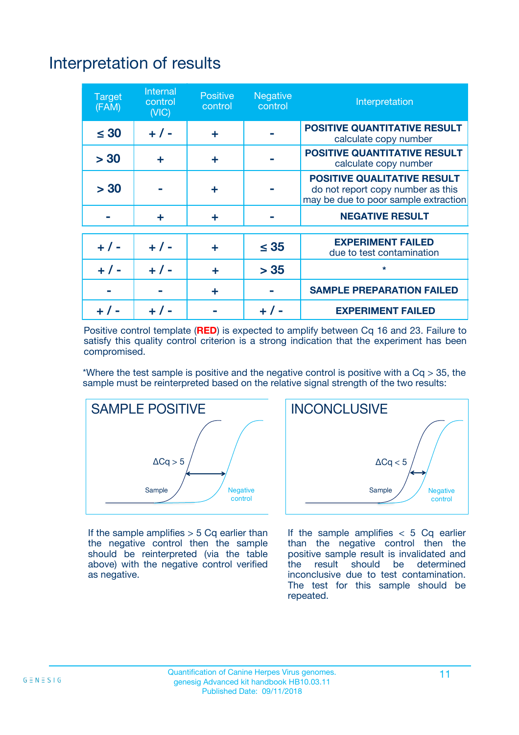# Interpretation of results

| <b>Target</b><br>(FAM) | Internal<br>control<br>(NIC) | <b>Positive</b><br>control | Negative<br>control | Interpretation                                                                                                  |
|------------------------|------------------------------|----------------------------|---------------------|-----------------------------------------------------------------------------------------------------------------|
| $\leq 30$              | $+ 1 -$                      | ÷                          |                     | <b>POSITIVE QUANTITATIVE RESULT</b><br>calculate copy number                                                    |
| > 30                   | ÷                            | ÷                          |                     | <b>POSITIVE QUANTITATIVE RESULT</b><br>calculate copy number                                                    |
| > 30                   |                              | ÷                          |                     | <b>POSITIVE QUALITATIVE RESULT</b><br>do not report copy number as this<br>may be due to poor sample extraction |
|                        | ÷                            | ÷                          |                     | <b>NEGATIVE RESULT</b>                                                                                          |
|                        |                              |                            |                     | <b>EXPERIMENT FAILED</b>                                                                                        |
| $+ 1 -$                | $+ 1 -$                      | ÷                          | $\leq 35$           | due to test contamination                                                                                       |
| $+ 1 -$                | $+ 1 -$                      | ÷                          | > 35                | $\star$                                                                                                         |
|                        |                              | ÷                          |                     | <b>SAMPLE PREPARATION FAILED</b>                                                                                |
|                        |                              |                            |                     | <b>EXPERIMENT FAILED</b>                                                                                        |

Positive control template (**RED**) is expected to amplify between Cq 16 and 23. Failure to satisfy this quality control criterion is a strong indication that the experiment has been compromised.

\*Where the test sample is positive and the negative control is positive with a  $Ca > 35$ , the sample must be reinterpreted based on the relative signal strength of the two results:



If the sample amplifies  $> 5$  Cq earlier than the negative control then the sample should be reinterpreted (via the table above) with the negative control verified as negative.



If the sample amplifies  $< 5$  Cq earlier than the negative control then the positive sample result is invalidated and<br>the result should be determined  $the$  result should be inconclusive due to test contamination. The test for this sample should be repeated.